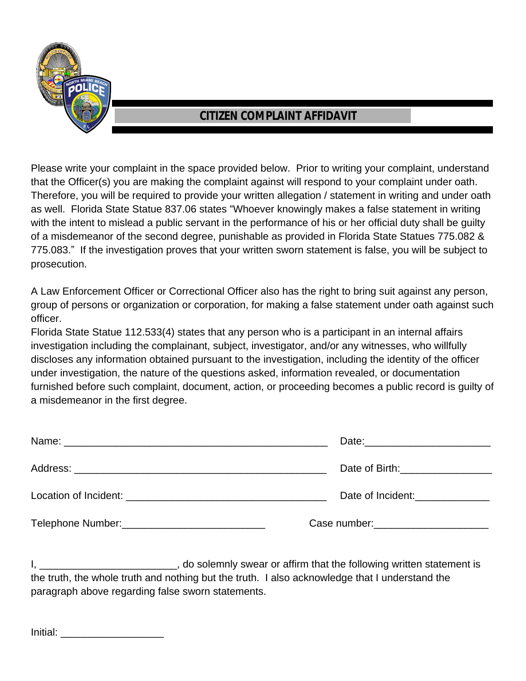

## **CITIZEN COMPLAINT AFFIDAVIT**

Please write your complaint in the space provided below. Prior to writing your complaint, understand that the Officer(s) you are making the complaint against will respond to your complaint under oath. Therefore, you will be required to provide your written allegation / statement in writing and under oath as well. Florida State Statue 837.06 states "Whoever knowingly makes a false statement in writing with the intent to mislead a public servant in the performance of his or her official duty shall be quilty of a misdemeanor of the second degree, punishable as provided in Florida State Statues 775.082 & 775.083." If the investigation proves that your written sworn statement is false, you will be subject to prosecution.

A Law Enforcement Officer or Correctional Officer also has the right to bring suit against any person, group of persons or organization or corporation, for making a false statement under oath against such officer.

Florida State Statue 112.533(4) states that any person who is a participant in an internal affairs investigation including the complainant, subject, investigator, and/or any witnesses, who willfully discloses any information obtained pursuant to the investigation, including the identity of the officer under investigation, the nature of the questions asked, information revealed, or documentation furnished before such complaint, document, action, or proceeding becomes a public record is guilty of a misdemeanor in the first degree.

|                                                                 | Date of Birth: <u>contained</u>    |
|-----------------------------------------------------------------|------------------------------------|
|                                                                 | Date of Incident:                  |
| Telephone Number: Version of the Community of Telephone Number: | Case number: New York Case number: |

I, Let the solemnly swear or affirm that the following written statement is the truth, the whole truth and nothing but the truth. I also acknowledge that I understand the paragraph above regarding false sworn statements.

Initial: **with the set of the set of the set of the set of the set of the set of the set of the set of the set o**